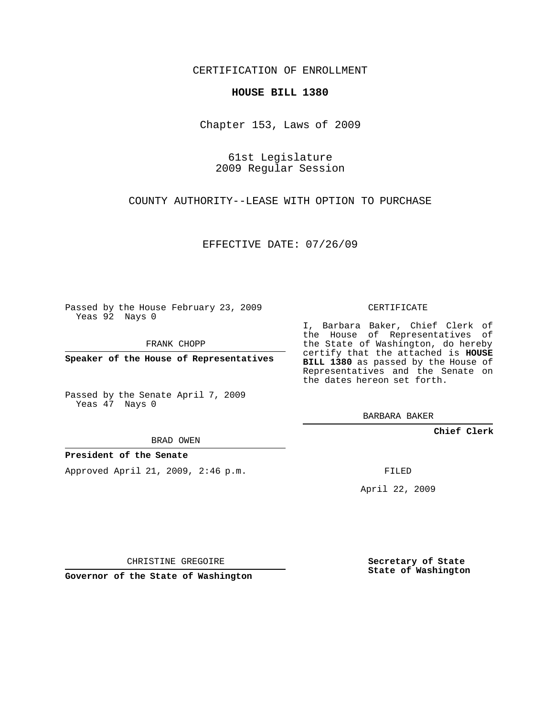CERTIFICATION OF ENROLLMENT

## **HOUSE BILL 1380**

Chapter 153, Laws of 2009

61st Legislature 2009 Regular Session

COUNTY AUTHORITY--LEASE WITH OPTION TO PURCHASE

EFFECTIVE DATE: 07/26/09

Passed by the House February 23, 2009 Yeas 92 Nays 0

FRANK CHOPP

**Speaker of the House of Representatives**

Passed by the Senate April 7, 2009 Yeas 47 Nays 0

BRAD OWEN

## **President of the Senate**

Approved April 21, 2009, 2:46 p.m.

CERTIFICATE

I, Barbara Baker, Chief Clerk of the House of Representatives of the State of Washington, do hereby certify that the attached is **HOUSE BILL 1380** as passed by the House of Representatives and the Senate on the dates hereon set forth.

BARBARA BAKER

**Chief Clerk**

FILED

April 22, 2009

CHRISTINE GREGOIRE

**Governor of the State of Washington**

**Secretary of State State of Washington**